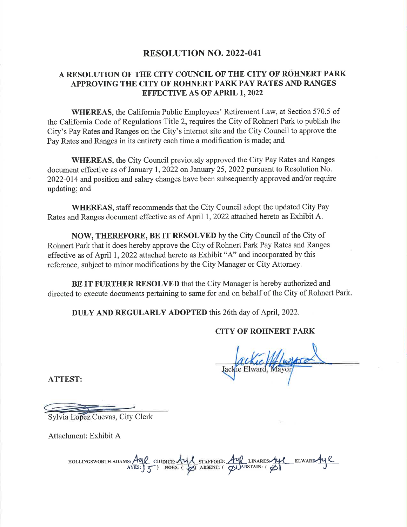# **RESOLUTION NO. 2022-041**

# A RESOLUTION OF THE CITY COUNCIL OF THE CITY OF ROHNERT PARK APPROVING THE CITY OF ROHNERT PARK PAY RATES AND RANGES **EFFECTIVE AS OF APRIL 1, 2022**

**WHEREAS**, the California Public Employees' Retirement Law, at Section 570.5 of the California Code of Regulations Title 2, requires the City of Rohnert Park to publish the City's Pay Rates and Ranges on the City's internet site and the City Council to approve the Pay Rates and Ranges in its entirety each time a modification is made; and

WHEREAS, the City Council previously approved the City Pay Rates and Ranges document effective as of January 1, 2022 on January 25, 2022 pursuant to Resolution No. 2022-014 and position and salary changes have been subsequently approved and/or require updating; and

**WHEREAS, staff recommends that the City Council adopt the updated City Pay** Rates and Ranges document effective as of April 1, 2022 attached hereto as Exhibit A.

**NOW, THEREFORE, BE IT RESOLVED** by the City Council of the City of Rohnert Park that it does hereby approve the City of Rohnert Park Pay Rates and Ranges effective as of April 1, 2022 attached hereto as Exhibit "A" and incorporated by this reference, subject to minor modifications by the City Manager or City Attorney.

BE IT FURTHER RESOLVED that the City Manager is hereby authorized and directed to execute documents pertaining to same for and on behalf of the City of Rohnert Park.

DULY AND REGULARLY ADOPTED this 26th day of April, 2022.

# **CITY OF ROHNERT PARK**

ie Elward, Mayor

**ATTEST:** 

Svlvia Lopez Cuevas, City Clerk

Attachment: Exhibit A

HOLLINGSWORTH-ADAMS: AUP GIUDICE: AUP STAFFORD: AUP LINARES-AUP ELWARD-AUP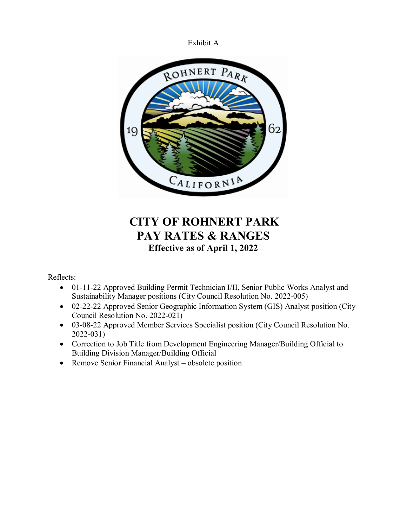



# **CITY OF ROHNERT PARK PAY RATES & RANGES Effective as of April 1, 2022**

Reflects:

- 01-11-22 Approved Building Permit Technician I/II, Senior Public Works Analyst and Sustainability Manager positions (City Council Resolution No. 2022-005)
- 02-22-22 Approved Senior Geographic Information System (GIS) Analyst position (City Council Resolution No. 2022-021)
- 03-08-22 Approved Member Services Specialist position (City Council Resolution No. 2022-031)
- Correction to Job Title from Development Engineering Manager/Building Official to Building Division Manager/Building Official
- Remove Senior Financial Analyst obsolete position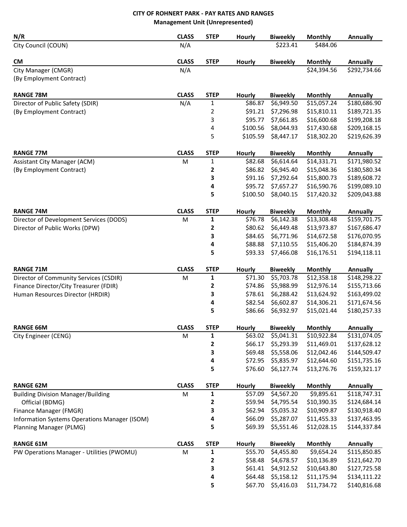# **CITY OF ROHNERT PARK - PAY RATES AND RANGES Management Unit (Unrepresented)**

| N/R                                           | <b>CLASS</b> | <b>STEP</b>    | Hourly        | <b>Biweekly</b> | <b>Monthly</b> | <b>Annually</b> |
|-----------------------------------------------|--------------|----------------|---------------|-----------------|----------------|-----------------|
| City Council (COUN)                           | N/A          |                |               | \$223.41        | \$484.06       |                 |
| <b>CM</b>                                     | <b>CLASS</b> | <b>STEP</b>    | <b>Hourly</b> | <b>Biweekly</b> | <b>Monthly</b> | <b>Annually</b> |
| City Manager (CMGR)                           | N/A          |                |               |                 | \$24,394.56    | \$292,734.66    |
| (By Employment Contract)                      |              |                |               |                 |                |                 |
| <b>RANGE 78M</b>                              | <b>CLASS</b> | <b>STEP</b>    | Hourly        | <b>Biweekly</b> | <b>Monthly</b> | <b>Annually</b> |
| Director of Public Safety (SDIR)              | N/A          | 1              | \$86.87       | \$6,949.50      | \$15,057.24    | \$180,686.90    |
| (By Employment Contract)                      |              | $\overline{2}$ | \$91.21       | \$7,296.98      | \$15,810.11    | \$189,721.35    |
|                                               |              | 3              | \$95.77       | \$7,661.85      | \$16,600.68    | \$199,208.18    |
|                                               |              | 4              | \$100.56      | \$8,044.93      | \$17,430.68    | \$209,168.15    |
|                                               |              | 5              | \$105.59      | \$8,447.17      | \$18,302.20    | \$219,626.39    |
| <b>RANGE 77M</b>                              | <b>CLASS</b> | <b>STEP</b>    | Hourly        | <b>Biweekly</b> | <b>Monthly</b> | <b>Annually</b> |
| Assistant City Manager (ACM)                  | M            | 1              | \$82.68       | \$6,614.64      | \$14,331.71    | \$171,980.52    |
| (By Employment Contract)                      |              | 2              | \$86.82       | \$6,945.40      | \$15,048.36    | \$180,580.34    |
|                                               |              | 3              | \$91.16       | \$7,292.64      | \$15,800.73    | \$189,608.72    |
|                                               |              | 4              | \$95.72       | \$7,657.27      | \$16,590.76    | \$199,089.10    |
|                                               |              | 5              | \$100.50      | \$8,040.15      | \$17,420.32    | \$209,043.88    |
| <b>RANGE 74M</b>                              | <b>CLASS</b> | <b>STEP</b>    | Hourly        | <b>Biweekly</b> | <b>Monthly</b> | <b>Annually</b> |
| Director of Development Services (DODS)       | M            | 1              | \$76.78       | \$6,142.38      | \$13,308.48    | \$159,701.75    |
| Director of Public Works (DPW)                |              | $\mathbf 2$    | \$80.62       | \$6,449.48      | \$13,973.87    | \$167,686.47    |
|                                               |              | 3              | \$84.65       | \$6,771.96      | \$14,672.58    | \$176,070.95    |
|                                               |              | 4              | \$88.88       | \$7,110.55      | \$15,406.20    | \$184,874.39    |
|                                               |              | 5              | \$93.33       | \$7,466.08      | \$16,176.51    | \$194,118.11    |
| <b>RANGE 71M</b>                              | <b>CLASS</b> | <b>STEP</b>    | <b>Hourly</b> | <b>Biweekly</b> | <b>Monthly</b> | <b>Annually</b> |
| Director of Community Services (CSDIR)        | M            | $\mathbf{1}$   | \$71.30       | \$5,703.78      | \$12,358.18    | \$148,298.22    |
| Finance Director/City Treasurer (FDIR)        |              | 2              | \$74.86       | \$5,988.99      | \$12,976.14    | \$155,713.66    |
| Human Resources Director (HRDIR)              |              | 3              | \$78.61       | \$6,288.42      | \$13,624.92    | \$163,499.02    |
|                                               |              | 4              | \$82.54       | \$6,602.87      | \$14,306.21    | \$171,674.56    |
|                                               |              | 5              | \$86.66       | \$6,932.97      | \$15,021.44    | \$180,257.33    |
| <b>RANGE 66M</b>                              | <b>CLASS</b> | <b>STEP</b>    | <b>Hourly</b> | <b>Biweekly</b> | <b>Monthly</b> | <b>Annually</b> |
| City Engineer (CENG)                          | M            | 1              | \$63.02       | \$5,041.31      | \$10,922.84    | \$131,074.05    |
|                                               |              | 2              | \$66.17       | \$5,293.39      | \$11,469.01    | \$137,628.12    |
|                                               |              | 3              | \$69.48       | \$5,558.06      | \$12,042.46    | \$144,509.47    |
|                                               |              | 4              | \$72.95       | \$5,835.97      | \$12,644.60    | \$151,735.16    |
|                                               |              | 5              | \$76.60       | \$6,127.74      | \$13,276.76    | \$159,321.17    |
| <b>RANGE 62M</b>                              | <b>CLASS</b> | <b>STEP</b>    | <b>Hourly</b> | <b>Biweekly</b> | <b>Monthly</b> | <b>Annually</b> |
| <b>Building Division Manager/Building</b>     | M            | $\mathbf{1}$   | \$57.09       | \$4,567.20      | \$9,895.61     | \$118,747.31    |
| Official (BDMG)                               |              | 2              | \$59.94       | \$4,795.54      | \$10,390.35    | \$124,684.14    |
| Finance Manager (FMGR)                        |              | 3              | \$62.94       | \$5,035.32      | \$10,909.87    | \$130,918.40    |
| Information Systems Operations Manager (ISOM) |              | 4              | \$66.09       | \$5,287.07      | \$11,455.33    | \$137,463.95    |
| Planning Manager (PLMG)                       |              | 5              | \$69.39       | \$5,551.46      | \$12,028.15    | \$144,337.84    |
| <b>RANGE 61M</b>                              | <b>CLASS</b> | <b>STEP</b>    | Hourly        | <b>Biweekly</b> | <b>Monthly</b> | <b>Annually</b> |
| PW Operations Manager - Utilities (PWOMU)     | M            | 1              | \$55.70       | \$4,455.80      | \$9,654.24     | \$115,850.85    |
|                                               |              | 2              | \$58.48       | \$4,678.57      | \$10,136.89    | \$121,642.70    |
|                                               |              | 3              | \$61.41       | \$4,912.52      | \$10,643.80    | \$127,725.58    |
|                                               |              | 4              | \$64.48       | \$5,158.12      | \$11,175.94    | \$134,111.22    |
|                                               |              | 5              | \$67.70       | \$5,416.03      | \$11,734.72    | \$140,816.68    |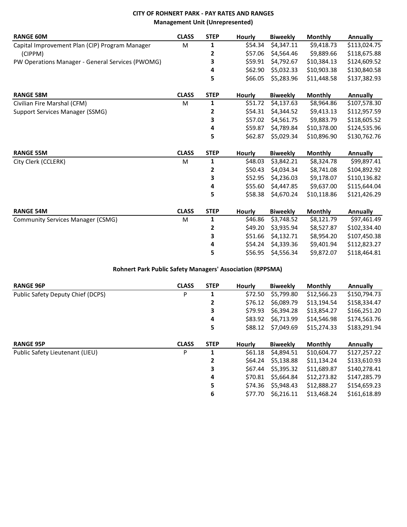# **CITY OF ROHNERT PARK - PAY RATES AND RANGES Management Unit (Unrepresented)**

| <b>RANGE 60M</b>                                 | <b>CLASS</b> | <b>STEP</b>    | Hourly        | <b>Biweekly</b> | <b>Monthly</b> | <b>Annually</b> |
|--------------------------------------------------|--------------|----------------|---------------|-----------------|----------------|-----------------|
| Capital Improvement Plan (CIP) Program Manager   | M            | 1              | \$54.34       | \$4,347.11      | \$9,418.73     | \$113,024.75    |
| (CIPPM)                                          |              | 2              | \$57.06       | \$4,564.46      | \$9,889.66     | \$118,675.88    |
| PW Operations Manager - General Services (PWOMG) |              | 3              | \$59.91       | \$4,792.67      | \$10,384.13    | \$124,609.52    |
|                                                  |              | 4              | \$62.90       | \$5,032.33      | \$10,903.38    | \$130,840.58    |
|                                                  |              | 5              | \$66.05       | \$5,283.96      | \$11,448.58    | \$137,382.93    |
| <b>RANGE 58M</b>                                 | <b>CLASS</b> | <b>STEP</b>    | <b>Hourly</b> | <b>Biweekly</b> | <b>Monthly</b> | <b>Annually</b> |
| Civilian Fire Marshal (CFM)                      | M            | 1              | \$51.72       | \$4,137.63      | \$8,964.86     | \$107,578.30    |
| Support Services Manager (SSMG)                  |              | $\overline{2}$ | \$54.31       | \$4,344.52      | \$9,413.13     | \$112,957.59    |
|                                                  |              | 3              | \$57.02       | \$4,561.75      | \$9,883.79     | \$118,605.52    |
|                                                  |              | 4              | \$59.87       | \$4,789.84      | \$10,378.00    | \$124,535.96    |
|                                                  |              | 5              | \$62.87       | \$5,029.34      | \$10,896.90    | \$130,762.76    |
| <b>RANGE 55M</b>                                 | <b>CLASS</b> | <b>STEP</b>    | <b>Hourly</b> | <b>Biweekly</b> | Monthly        | <b>Annually</b> |
| City Clerk (CCLERK)                              | M            | 1              | \$48.03       | \$3,842.21      | \$8,324.78     | \$99,897.41     |
|                                                  |              | $\mathbf{2}$   | \$50.43       | \$4,034.34      | \$8,741.08     | \$104,892.92    |
|                                                  |              | 3              | \$52.95       | \$4,236.03      | \$9,178.07     | \$110,136.82    |
|                                                  |              | 4              | \$55.60       | \$4,447.85      | \$9,637.00     | \$115,644.04    |
|                                                  |              | 5              | \$58.38       | \$4,670.24      | \$10,118.86    | \$121,426.29    |
| <b>RANGE 54M</b>                                 | <b>CLASS</b> | <b>STEP</b>    | Hourly        | <b>Biweekly</b> | <b>Monthly</b> | <b>Annually</b> |
| <b>Community Services Manager (CSMG)</b>         | M            | 1              | \$46.86       | \$3,748.52      | \$8,121.79     | \$97,461.49     |
|                                                  |              | 2              | \$49.20       | \$3,935.94      | \$8,527.87     | \$102,334.40    |
|                                                  |              | 3              | \$51.66       | \$4,132.71      | \$8,954.20     | \$107,450.38    |
|                                                  |              | 4              | \$54.24       | \$4,339.36      | \$9,401.94     | \$112,823.27    |
|                                                  |              | 5              | \$56.95       | \$4,556.34      | \$9,872.07     | \$118,464.81    |

## **Rohnert Park Public Safety Managers' Association (RPPSMA)**

| <b>RANGE 96P</b>                  | <b>CLASS</b> | <b>STEP</b> | <b>Hourly</b> | <b>Biweekly</b> | <b>Monthly</b> | Annually     |
|-----------------------------------|--------------|-------------|---------------|-----------------|----------------|--------------|
| Public Safety Deputy Chief (DCPS) | P            | 1           | \$72.50       | \$5,799.80      | \$12,566.23    | \$150,794.73 |
|                                   |              | 2           | \$76.12       | \$6,089.79      | \$13,194.54    | \$158,334.47 |
|                                   |              | 3           | \$79.93       | \$6.394.28      | \$13,854.27    | \$166,251.20 |
|                                   |              | 4           | \$83.92       | \$6.713.99      | \$14,546.98    | \$174,563.76 |
|                                   |              | 5           | \$88.12       | \$7,049.69      | \$15,274.33    | \$183,291.94 |
| <b>RANGE 95P</b>                  | <b>CLASS</b> | <b>STEP</b> | <b>Hourly</b> | <b>Biweekly</b> | <b>Monthly</b> | Annually     |
|                                   |              |             |               |                 |                |              |
| Public Safety Lieutenant (LIEU)   | P            | 1           | \$61.18       | \$4,894.51      | \$10,604.77    | \$127,257.22 |
|                                   |              | 2           | \$64.24       | \$5,138.88      | \$11,134.24    | \$133,610.93 |
|                                   |              | 3           | \$67.44       | \$5,395.32      | \$11,689.87    | \$140,278.41 |
|                                   |              | 4           | \$70.81       | \$5,664.84      | \$12,273.82    | \$147,285.79 |
|                                   |              | 5           | \$74.36       | \$5,948.43      | \$12,888.27    | \$154,659.23 |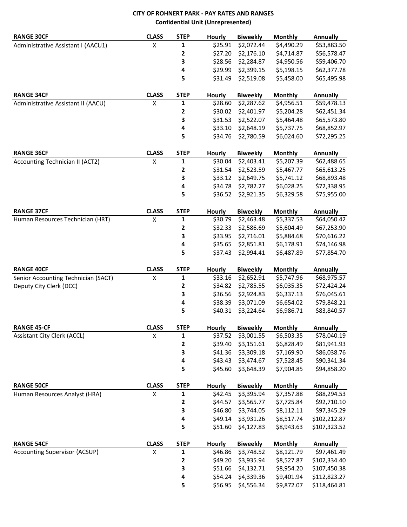# **CITY OF ROHNERT PARK - PAY RATES AND RANGES Confidential Unit (Unrepresented)**

| <b>RANGE 30CF</b>                    | <b>CLASS</b>       | <b>STEP</b>  | <b>Hourly</b>      | <b>Biweekly</b>          | <b>Monthly</b>           | <b>Annually</b>              |
|--------------------------------------|--------------------|--------------|--------------------|--------------------------|--------------------------|------------------------------|
| Administrative Assistant I (AACU1)   | X                  | 1            | \$25.91            | \$2,072.44               | \$4,490.29               | \$53,883.50                  |
|                                      |                    | 2            | \$27.20            | \$2,176.10               | \$4,714.87               | \$56,578.47                  |
|                                      |                    | 3            | \$28.56            | \$2,284.87               | \$4,950.56               | \$59,406.70                  |
|                                      |                    | $\pmb{4}$    | \$29.99            | \$2,399.15               | \$5,198.15               | \$62,377.78                  |
|                                      |                    | 5            | \$31.49            | \$2,519.08               | \$5,458.00               | \$65,495.98                  |
| <b>RANGE 34CF</b>                    | <b>CLASS</b>       | <b>STEP</b>  | <b>Hourly</b>      | <b>Biweekly</b>          | <b>Monthly</b>           | <b>Annually</b>              |
| Administrative Assistant II (AACU)   | X                  | 1            | \$28.60            | \$2,287.62               | \$4,956.51               | \$59,478.13                  |
|                                      |                    | 2            | \$30.02            | \$2,401.97               | \$5,204.28               | \$62,451.34                  |
|                                      |                    | 3            | \$31.53            | \$2,522.07               | \$5,464.48               | \$65,573.80                  |
|                                      |                    | 4            | \$33.10            | \$2,648.19               | \$5,737.75               | \$68,852.97                  |
|                                      |                    | 5            | \$34.76            | \$2,780.59               | \$6,024.60               | \$72,295.25                  |
| <b>RANGE 36CF</b>                    | <b>CLASS</b>       | <b>STEP</b>  | <b>Hourly</b>      | <b>Biweekly</b>          | <b>Monthly</b>           | <b>Annually</b>              |
| Accounting Technician II (ACT2)      | X                  | 1            | \$30.04            | \$2,403.41               | \$5,207.39               | \$62,488.65                  |
|                                      |                    | $\mathbf{2}$ | \$31.54            | \$2,523.59               | \$5,467.77               | \$65,613.25                  |
|                                      |                    | 3            | \$33.12            | \$2,649.75               | \$5,741.12               | \$68,893.48                  |
|                                      |                    | 4            | \$34.78            | \$2,782.27               | \$6,028.25               | \$72,338.95                  |
|                                      |                    | 5            | \$36.52            | \$2,921.35               | \$6,329.58               | \$75,955.00                  |
| <b>RANGE 37CF</b>                    | <b>CLASS</b>       | <b>STEP</b>  | <b>Hourly</b>      | <b>Biweekly</b>          | <b>Monthly</b>           | <b>Annually</b>              |
| Human Resources Technician (HRT)     | X                  | 1            | \$30.79            | \$2,463.48               | \$5,337.53               | \$64,050.42                  |
|                                      |                    | $\mathbf 2$  | \$32.33            | \$2,586.69               | \$5,604.49               | \$67,253.90                  |
|                                      |                    | 3            | \$33.95            | \$2,716.01               | \$5,884.68               | \$70,616.22                  |
|                                      |                    | $\pmb{4}$    | \$35.65            | \$2,851.81               | \$6,178.91               | \$74,146.98                  |
|                                      |                    | 5            | \$37.43            | \$2,994.41               | \$6,487.89               | \$77,854.70                  |
| <b>RANGE 40CF</b>                    | <b>CLASS</b>       | <b>STEP</b>  | <b>Hourly</b>      | <b>Biweekly</b>          | <b>Monthly</b>           | <b>Annually</b>              |
| Senior Accounting Technician (SACT)  | X                  | 1            | \$33.16            | \$2,652.91               | \$5,747.96               | \$68,975.57                  |
| Deputy City Clerk (DCC)              |                    | $\mathbf{2}$ | \$34.82            | \$2,785.55               | \$6,035.35               | \$72,424.24                  |
|                                      |                    | 3            | \$36.56            | \$2,924.83               | \$6,337.13               | \$76,045.61                  |
|                                      |                    | 4            | \$38.39            | \$3,071.09               | \$6,654.02               | \$79,848.21                  |
|                                      |                    | 5            | \$40.31            | \$3,224.64               | \$6,986.71               | \$83,840.57                  |
| <b>RANGE 45-CF</b>                   | <b>CLASS</b>       | <b>STEP</b>  | <b>Hourly</b>      | <b>Biweekly</b>          | <b>Monthly</b>           | <b>Annually</b>              |
| <b>Assistant City Clerk (ACCL)</b>   | Χ                  | 1            | \$37.52            | \$3,001.55               | \$6,503.35               | \$78,040.19                  |
|                                      |                    | 2            | \$39.40            | \$3,151.61               | \$6,828.49               | \$81,941.93                  |
|                                      |                    | 3            | \$41.36            | \$3,309.18               | \$7,169.90               | \$86,038.76                  |
|                                      |                    | 4            | \$43.43            | \$3,474.67               | \$7,528.45               | \$90,341.34                  |
|                                      |                    | 5            | \$45.60            | \$3,648.39               | \$7,904.85               | \$94,858.20                  |
|                                      |                    |              |                    |                          |                          |                              |
| <b>RANGE 50CF</b>                    | <b>CLASS</b>       | <b>STEP</b>  | <b>Hourly</b>      | <b>Biweekly</b>          | <b>Monthly</b>           | <b>Annually</b>              |
| Human Resources Analyst (HRA)        | $\pmb{\mathsf{X}}$ | $\mathbf{1}$ | \$42.45            | \$3,395.94               | \$7,357.88               | \$88,294.53                  |
|                                      |                    | 2            | \$44.57            | \$3,565.77               | \$7,725.84               | \$92,710.10                  |
|                                      |                    | 3            | \$46.80            | \$3,744.05               | \$8,112.11               | \$97,345.29                  |
|                                      |                    | 4            | \$49.14            | \$3,931.26               | \$8,517.74               | \$102,212.87                 |
|                                      |                    | 5            | \$51.60            | \$4,127.83               | \$8,943.63               | \$107,323.52                 |
| <b>RANGE 54CF</b>                    | <b>CLASS</b>       | <b>STEP</b>  | <b>Hourly</b>      | <b>Biweekly</b>          | <b>Monthly</b>           | <b>Annually</b>              |
| <b>Accounting Supervisor (ACSUP)</b> | X                  | 1            | \$46.86            | \$3,748.52               | \$8,121.79               | \$97,461.49                  |
|                                      |                    | $\mathbf 2$  | \$49.20            | \$3,935.94               | \$8,527.87               | \$102,334.40                 |
|                                      |                    | 3            | \$51.66            | \$4,132.71               | \$8,954.20               | \$107,450.38                 |
|                                      |                    | 4<br>5       | \$54.24<br>\$56.95 | \$4,339.36<br>\$4,556.34 | \$9,401.94<br>\$9,872.07 | \$112,823.27<br>\$118,464.81 |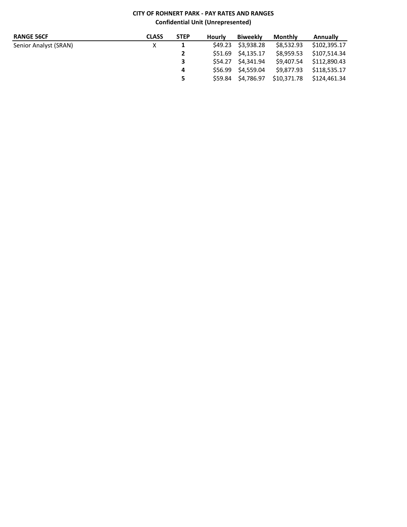# **CITY OF ROHNERT PARK - PAY RATES AND RANGES Confidential Unit (Unrepresented)**

| <b>RANGE 56CF</b>     | <b>CLASS</b> | <b>STEP</b>    | Hourly  | <b>Biweekly</b>    | Monthly     | <b>Annually</b> |
|-----------------------|--------------|----------------|---------|--------------------|-------------|-----------------|
| Senior Analyst (SRAN) |              | 1              |         | \$49.23 \$3.938.28 | \$8.532.93  | \$102.395.17    |
|                       |              | $\overline{2}$ |         | \$51.69 \$4.135.17 | \$8.959.53  | \$107.514.34    |
|                       |              | 3              |         | S54.27 \$4.341.94  | \$9.407.54  | \$112.890.43    |
|                       |              | 4              |         | \$56.99 \$4.559.04 | \$9.877.93  | \$118,535.17    |
|                       |              | 5.             | \$59.84 | S4.786.97          | \$10.371.78 | \$124,461.34    |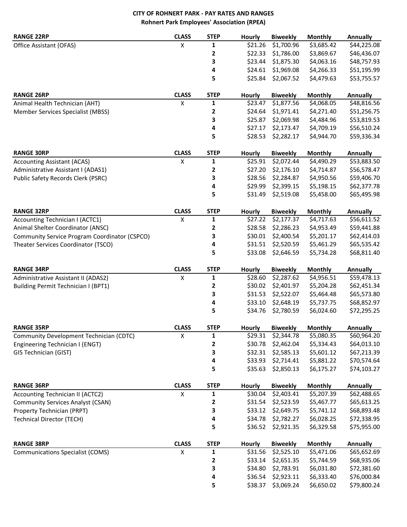# **CITY OF ROHNERT PARK - PAY RATES AND RANGES Rohnert Park Employees' Association (RPEA)**

| <b>RANGE 22RP</b>                             | <b>CLASS</b>       | <b>STEP</b>  | <b>Hourly</b> | <b>Biweekly</b> | <b>Monthly</b> | <b>Annually</b> |
|-----------------------------------------------|--------------------|--------------|---------------|-----------------|----------------|-----------------|
| Office Assistant (OFAS)                       | X                  | 1            | \$21.26       | \$1,700.96      | \$3,685.42     | \$44,225.08     |
|                                               |                    | 2            | \$22.33       | \$1,786.00      | \$3,869.67     | \$46,436.07     |
|                                               |                    | 3            | \$23.44       | \$1,875.30      | \$4,063.16     | \$48,757.93     |
|                                               |                    | 4            | \$24.61       | \$1,969.08      | \$4,266.33     | \$51,195.99     |
|                                               |                    | 5            | \$25.84       | \$2,067.52      | \$4,479.63     | \$53,755.57     |
| <b>RANGE 26RP</b>                             | <b>CLASS</b>       | <b>STEP</b>  | Hourly        | <b>Biweekly</b> | <b>Monthly</b> | <b>Annually</b> |
| Animal Health Technician (AHT)                | Χ                  | $\mathbf{1}$ | \$23.47       | \$1,877.56      | \$4,068.05     | \$48,816.56     |
| Member Services Specialist (MBSS)             |                    | $\mathbf{2}$ | \$24.64       | \$1,971.41      | \$4,271.40     | \$51,256.75     |
|                                               |                    | 3            | \$25.87       | \$2,069.98      | \$4,484.96     | \$53,819.53     |
|                                               |                    | 4            | \$27.17       | \$2,173.47      | \$4,709.19     | \$56,510.24     |
|                                               |                    | 5            | \$28.53       | \$2,282.17      | \$4,944.70     | \$59,336.34     |
| <b>RANGE 30RP</b>                             | <b>CLASS</b>       | <b>STEP</b>  | Hourly        | <b>Biweekly</b> | <b>Monthly</b> | <b>Annually</b> |
| <b>Accounting Assistant (ACAS)</b>            | X                  | $\mathbf{1}$ | \$25.91       | \$2,072.44      | \$4,490.29     | \$53,883.50     |
| Administrative Assistant I (ADAS1)            |                    | $\mathbf{2}$ | \$27.20       | \$2,176.10      | \$4,714.87     | \$56,578.47     |
| Public Safety Records Clerk (PSRC)            |                    | 3            | \$28.56       | \$2,284.87      | \$4,950.56     | \$59,406.70     |
|                                               |                    | 4            | \$29.99       | \$2,399.15      | \$5,198.15     | \$62,377.78     |
|                                               |                    | 5            | \$31.49       | \$2,519.08      | \$5,458.00     | \$65,495.98     |
| <b>RANGE 32RP</b>                             | <b>CLASS</b>       | <b>STEP</b>  | <b>Hourly</b> | <b>Biweekly</b> | <b>Monthly</b> | <b>Annually</b> |
| <b>Accounting Technician I (ACTC1)</b>        | X                  | $\mathbf{1}$ | \$27.22       | \$2,177.37      | \$4,717.63     | \$56,611.52     |
| Animal Shelter Coordinator (ANSC)             |                    | 2            | \$28.58       | \$2,286.23      | \$4,953.49     | \$59,441.88     |
| Community Service Program Coordinator (CSPCO) |                    | 3            | \$30.01       | \$2,400.54      | \$5,201.17     | \$62,414.03     |
| Theater Services Coordinator (TSCO)           |                    | 4            | \$31.51       | \$2,520.59      | \$5,461.29     | \$65,535.42     |
|                                               |                    | 5            | \$33.08       | \$2,646.59      | \$5,734.28     | \$68,811.40     |
| <b>RANGE 34RP</b>                             | <b>CLASS</b>       | <b>STEP</b>  | <b>Hourly</b> | <b>Biweekly</b> | <b>Monthly</b> | <b>Annually</b> |
| Administrative Assistant II (ADAS2)           | $\pmb{\mathsf{X}}$ | $\mathbf{1}$ | \$28.60       | \$2,287.62      | \$4,956.51     | \$59,478.13     |
| Building Permit Technician I (BPT1)           |                    | 2            | \$30.02       | \$2,401.97      | \$5,204.28     | \$62,451.34     |
|                                               |                    | 3            | \$31.53       | \$2,522.07      | \$5,464.48     | \$65,573.80     |
|                                               |                    | 4            | \$33.10       | \$2,648.19      | \$5,737.75     | \$68,852.97     |
|                                               |                    | 5            | \$34.76       | \$2,780.59      | \$6,024.60     | \$72,295.25     |
| <b>RANGE 35RP</b>                             | <b>CLASS</b>       | <b>STEP</b>  | <b>Hourly</b> | <b>Biweekly</b> | <b>Monthly</b> | <b>Annually</b> |
| Community Development Technician (CDTC)       | X                  | $\mathbf 1$  | \$29.31       | \$2,344.78      | \$5,080.35     | \$60,964.20     |
| Engineering Technician I (ENGT)               |                    | 2            | \$30.78       | \$2,462.04      | \$5,334.43     | \$64,013.10     |
| <b>GIS Technician (GIST)</b>                  |                    | 3            | \$32.31       | \$2,585.13      | \$5,601.12     | \$67,213.39     |
|                                               |                    | 4            | \$33.93       | \$2,714.41      | \$5,881.22     | \$70,574.64     |
|                                               |                    | 5            | \$35.63       | \$2,850.13      | \$6,175.27     | \$74,103.27     |
| <b>RANGE 36RP</b>                             | <b>CLASS</b>       | <b>STEP</b>  | <b>Hourly</b> | <b>Biweekly</b> | <b>Monthly</b> | <b>Annually</b> |
| Accounting Technician II (ACTC2)              | X                  | $\mathbf{1}$ | \$30.04       | \$2,403.41      | \$5,207.39     | \$62,488.65     |
| <b>Community Services Analyst (CSAN)</b>      |                    | 2            | \$31.54       | \$2,523.59      | \$5,467.77     | \$65,613.25     |
| Property Technician (PRPT)                    |                    | 3            | \$33.12       | \$2,649.75      | \$5,741.12     | \$68,893.48     |
| <b>Technical Director (TECH)</b>              |                    | 4            | \$34.78       | \$2,782.27      | \$6,028.25     | \$72,338.95     |
|                                               |                    | 5            | \$36.52       | \$2,921.35      | \$6,329.58     | \$75,955.00     |
| <b>RANGE 38RP</b>                             | <b>CLASS</b>       | <b>STEP</b>  | Hourly        | <b>Biweekly</b> | <b>Monthly</b> | <b>Annually</b> |
| <b>Communications Specialist (COMS)</b>       | X                  | $\mathbf{1}$ | \$31.56       | \$2,525.10      | \$5,471.06     | \$65,652.69     |
|                                               |                    | $\mathbf{2}$ | \$33.14       | \$2,651.35      | \$5,744.59     | \$68,935.06     |
|                                               |                    | 3            | \$34.80       | \$2,783.91      | \$6,031.80     | \$72,381.60     |
|                                               |                    | 4            | \$36.54       | \$2,923.11      | \$6,333.40     | \$76,000.84     |
|                                               |                    | 5            | \$38.37       | \$3,069.24      | \$6,650.02     | \$79,800.24     |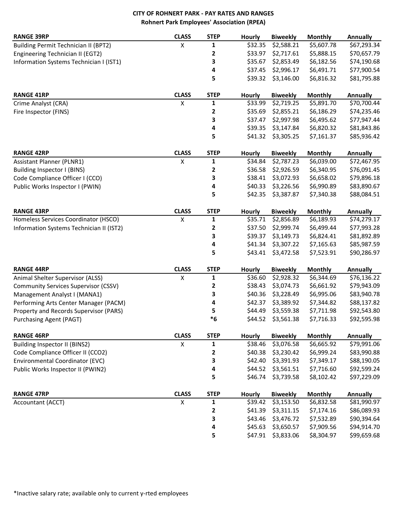# **CITY OF ROHNERT PARK - PAY RATES AND RANGES Rohnert Park Employees' Association (RPEA)**

| <b>RANGE 39RP</b>                           | <b>CLASS</b>       | <b>STEP</b>  | Hourly  | <b>Biweekly</b> | <b>Monthly</b> | <b>Annually</b> |
|---------------------------------------------|--------------------|--------------|---------|-----------------|----------------|-----------------|
| <b>Building Permit Technician II (BPT2)</b> | X                  | 1            | \$32.35 | \$2,588.21      | \$5,607.78     | \$67,293.34     |
| Engineering Technician II (EGT2)            |                    | $\mathbf{2}$ | \$33.97 | \$2,717.61      | \$5,888.15     | \$70,657.79     |
| Information Systems Technician I (IST1)     |                    | 3            | \$35.67 | \$2,853.49      | \$6,182.56     | \$74,190.68     |
|                                             |                    | 4            | \$37.45 | \$2,996.17      | \$6,491.71     | \$77,900.54     |
|                                             |                    | 5            | \$39.32 | \$3,146.00      | \$6,816.32     | \$81,795.88     |
|                                             |                    |              |         |                 |                |                 |
| <b>RANGE 41RP</b>                           | <b>CLASS</b>       | <b>STEP</b>  | Hourly  | <b>Biweekly</b> | <b>Monthly</b> | <b>Annually</b> |
| Crime Analyst (CRA)                         | $\pmb{\mathsf{X}}$ | $\mathbf{1}$ | \$33.99 | \$2,719.25      | \$5,891.70     | \$70,700.44     |
| Fire Inspector (FINS)                       |                    | $\mathbf 2$  | \$35.69 | \$2,855.21      | \$6,186.29     | \$74,235.46     |
|                                             |                    | 3            | \$37.47 | \$2,997.98      | \$6,495.62     | \$77,947.44     |
|                                             |                    | 4            | \$39.35 | \$3,147.84      | \$6,820.32     | \$81,843.86     |
|                                             |                    | 5            | \$41.32 | \$3,305.25      | \$7,161.37     | \$85,936.42     |
| <b>RANGE 42RP</b>                           | <b>CLASS</b>       | <b>STEP</b>  | Hourly  | <b>Biweekly</b> | <b>Monthly</b> | <b>Annually</b> |
| Assistant Planner (PLNR1)                   | $\pmb{\mathsf{X}}$ | $\mathbf 1$  | \$34.84 | \$2,787.23      | \$6,039.00     | \$72,467.95     |
| Building Inspector I (BINS)                 |                    | $\mathbf{2}$ | \$36.58 | \$2,926.59      | \$6,340.95     | \$76,091.45     |
| Code Compliance Officer I (CCO)             |                    | 3            | \$38.41 | \$3,072.93      | \$6,658.02     | \$79,896.18     |
| Public Works Inspector I (PWIN)             |                    | 4            | \$40.33 | \$3,226.56      | \$6,990.89     | \$83,890.67     |
|                                             |                    | 5            | \$42.35 | \$3,387.87      | \$7,340.38     | \$88,084.51     |
|                                             |                    |              |         |                 |                |                 |
| <b>RANGE 43RP</b>                           | <b>CLASS</b>       | <b>STEP</b>  | Hourly  | <b>Biweekly</b> | <b>Monthly</b> | <b>Annually</b> |
| Homeless Services Coordinator (HSCO)        | $\pmb{\mathsf{X}}$ | $\mathbf{1}$ | \$35.71 | \$2,856.89      | \$6,189.93     | \$74,279.17     |
| Information Systems Technician II (IST2)    |                    | 2            | \$37.50 | \$2,999.74      | \$6,499.44     | \$77,993.28     |
|                                             |                    | 3            | \$39.37 | \$3,149.73      | \$6,824.41     | \$81,892.89     |
|                                             |                    | 4            | \$41.34 | \$3,307.22      | \$7,165.63     | \$85,987.59     |
|                                             |                    | 5            | \$43.41 | \$3,472.58      | \$7,523.91     | \$90,286.97     |
| <b>RANGE 44RP</b>                           | <b>CLASS</b>       | <b>STEP</b>  | Hourly  | <b>Biweekly</b> | <b>Monthly</b> | <b>Annually</b> |
| Animal Shelter Supervisor (ALSS)            | $\pmb{\mathsf{X}}$ | 1            | \$36.60 | \$2,928.32      | \$6,344.69     | \$76,136.22     |
| <b>Community Services Supervisor (CSSV)</b> |                    | $\mathbf{2}$ | \$38.43 | \$3,074.73      | \$6,661.92     | \$79,943.09     |
| Management Analyst I (MANA1)                |                    | 3            | \$40.36 | \$3,228.49      | \$6,995.06     | \$83,940.78     |
| Performing Arts Center Manager (PACM)       |                    | 4            | \$42.37 | \$3,389.92      | \$7,344.82     | \$88,137.82     |
| Property and Records Supervisor (PARS)      |                    | 5            | \$44.49 | \$3,559.38      | \$7,711.98     | \$92,543.80     |
| Purchasing Agent (PAGT)                     |                    | $*6$         | \$44.52 | \$3,561.38      | \$7,716.33     | \$92,595.98     |
| <b>RANGE 46RP</b>                           | <b>CLASS</b>       | <b>STEP</b>  | Hourly  | <b>Biweekly</b> | <b>Monthly</b> | <b>Annually</b> |
| Building Inspector II (BINS2)               | X                  | 1            | \$38.46 | \$3,076.58      | \$6,665.92     | \$79,991.06     |
| Code Compliance Officer II (CCO2)           |                    | 2            | \$40.38 | \$3,230.42      | \$6,999.24     | \$83,990.88     |
| Environmental Coordinator (EVC)             |                    | 3            | \$42.40 | \$3,391.93      | \$7,349.17     | \$88,190.05     |
| Public Works Inspector II (PWIN2)           |                    | 4            | \$44.52 | \$3,561.51      | \$7,716.60     | \$92,599.24     |
|                                             |                    | 5            | \$46.74 | \$3,739.58      | \$8,102.42     | \$97,229.09     |
| <b>RANGE 47RP</b>                           | <b>CLASS</b>       | <b>STEP</b>  | Hourly  | <b>Biweekly</b> | <b>Monthly</b> | <b>Annually</b> |
| Accountant (ACCT)                           | X                  | 1            | \$39.42 | \$3,153.50      | \$6,832.58     | \$81,990.97     |
|                                             |                    | $\mathbf{2}$ | \$41.39 | \$3,311.15      | \$7,174.16     | \$86,089.93     |
|                                             |                    | 3            | \$43.46 | \$3,476.72      | \$7,532.89     | \$90,394.64     |
|                                             |                    | 4            | \$45.63 | \$3,650.57      | \$7,909.56     | \$94,914.70     |
|                                             |                    | 5            | \$47.91 | \$3,833.06      | \$8,304.97     | \$99,659.68     |
|                                             |                    |              |         |                 |                |                 |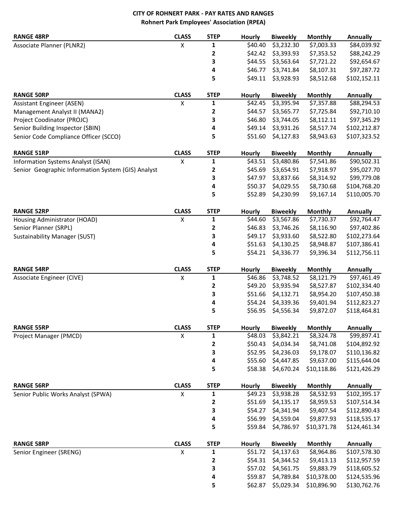# **CITY OF ROHNERT PARK - PAY RATES AND RANGES Rohnert Park Employees' Association (RPEA)**

| <b>RANGE 48RP</b>                                  | <b>CLASS</b>       | <b>STEP</b>  | Hourly        | <b>Biweekly</b> | <b>Monthly</b> | <b>Annually</b> |
|----------------------------------------------------|--------------------|--------------|---------------|-----------------|----------------|-----------------|
| Associate Planner (PLNR2)                          | X                  | 1            | \$40.40       | \$3,232.30      | \$7,003.33     | \$84,039.92     |
|                                                    |                    | 2            | \$42.42       | \$3,393.93      | \$7,353.52     | \$88,242.29     |
|                                                    |                    | 3            | \$44.55       | \$3,563.64      | \$7,721.22     | \$92,654.67     |
|                                                    |                    | 4            | \$46.77       | \$3,741.84      | \$8,107.31     | \$97,287.72     |
|                                                    |                    | 5            | \$49.11       | \$3,928.93      | \$8,512.68     | \$102,152.11    |
| <b>RANGE 50RP</b>                                  | <b>CLASS</b>       | <b>STEP</b>  | Hourly        | <b>Biweekly</b> | <b>Monthly</b> | <b>Annually</b> |
| <b>Assistant Engineer (ASEN)</b>                   | Χ                  | 1            | \$42.45       | \$3,395.94      | \$7,357.88     | \$88,294.53     |
| Management Analyst II (MANA2)                      |                    | 2            | \$44.57       | \$3,565.77      | \$7,725.84     | \$92,710.10     |
| Project Coodinator (PROJC)                         |                    | 3            | \$46.80       | \$3,744.05      | \$8,112.11     | \$97,345.29     |
| Senior Building Inspector (SBIN)                   |                    | 4            | \$49.14       | \$3,931.26      | \$8,517.74     | \$102,212.87    |
| Senior Code Compliance Officer (SCCO)              |                    | 5            | \$51.60       | \$4,127.83      | \$8,943.63     | \$107,323.52    |
| <b>RANGE 51RP</b>                                  | <b>CLASS</b>       | <b>STEP</b>  | <b>Hourly</b> | <b>Biweekly</b> | <b>Monthly</b> | <b>Annually</b> |
| Information Systems Analyst (ISAN)                 | Χ                  | 1            | \$43.51       | \$3,480.86      | \$7,541.86     | \$90,502.31     |
| Senior Geographic Information System (GIS) Analyst |                    | 2            | \$45.69       | \$3,654.91      | \$7,918.97     | \$95,027.70     |
|                                                    |                    | 3            | \$47.97       | \$3,837.66      | \$8,314.92     | \$99,779.08     |
|                                                    |                    | 4            | \$50.37       | \$4,029.55      | \$8,730.68     | \$104,768.20    |
|                                                    |                    | 5            | \$52.89       | \$4,230.99      | \$9,167.14     | \$110,005.70    |
| <b>RANGE 52RP</b>                                  | <b>CLASS</b>       | <b>STEP</b>  | Hourly        | <b>Biweekly</b> | Monthly        | <b>Annually</b> |
| Housing Administrator (HOAD)                       | X                  | 1            | \$44.60       | \$3,567.86      | \$7,730.37     | \$92,764.47     |
| Senior Planner (SRPL)                              |                    | 2            | \$46.83       | \$3,746.26      | \$8,116.90     | \$97,402.86     |
| Sustainability Manager (SUST)                      |                    | 3            | \$49.17       | \$3,933.60      | \$8,522.80     | \$102,273.64    |
|                                                    |                    | 4            | \$51.63       | \$4,130.25      | \$8,948.87     | \$107,386.41    |
|                                                    |                    | 5            | \$54.21       | \$4,336.77      | \$9,396.34     | \$112,756.11    |
| <b>RANGE 54RP</b>                                  | <b>CLASS</b>       | <b>STEP</b>  | Hourly        | <b>Biweekly</b> | <b>Monthly</b> | <b>Annually</b> |
| Associate Engineer (CIVE)                          | $\pmb{\mathsf{X}}$ | $\mathbf{1}$ | \$46.86       | \$3,748.52      | \$8,121.79     | \$97,461.49     |
|                                                    |                    | 2            | \$49.20       | \$3,935.94      | \$8,527.87     | \$102,334.40    |
|                                                    |                    | 3            | \$51.66       | \$4,132.71      | \$8,954.20     | \$107,450.38    |
|                                                    |                    | 4            | \$54.24       | \$4,339.36      | \$9,401.94     | \$112,823.27    |
|                                                    |                    | 5            | \$56.95       | \$4,556.34      | \$9,872.07     | \$118,464.81    |
| <b>RANGE 55RP</b>                                  | <b>CLASS</b>       | <b>STEP</b>  | Hourly        | <b>Biweekly</b> | <b>Monthly</b> | <b>Annually</b> |
| Project Manager (PMCD)                             | $\mathsf X$        | 1            | \$48.03       | \$3,842.21      | \$8,324.78     | \$99,897.41     |
|                                                    |                    | 2            | \$50.43       | \$4,034.34      | \$8,741.08     | \$104,892.92    |
|                                                    |                    | 3            | \$52.95       | \$4,236.03      | \$9,178.07     | \$110,136.82    |
|                                                    |                    | 4            | \$55.60       | \$4,447.85      | \$9,637.00     | \$115,644.04    |
|                                                    |                    | 5            | \$58.38       | \$4,670.24      | \$10,118.86    | \$121,426.29    |
| <b>RANGE 56RP</b>                                  | <b>CLASS</b>       | <b>STEP</b>  | <b>Hourly</b> | <b>Biweekly</b> | <b>Monthly</b> | <b>Annually</b> |
| Senior Public Works Analyst (SPWA)                 | X                  | $\mathbf{1}$ | \$49.23       | \$3,938.28      | \$8,532.93     | \$102,395.17    |
|                                                    |                    | 2            | \$51.69       | \$4,135.17      | \$8,959.53     | \$107,514.34    |
|                                                    |                    | 3            | \$54.27       | \$4,341.94      | \$9,407.54     | \$112,890.43    |
|                                                    |                    | 4            | \$56.99       | \$4,559.04      | \$9,877.93     | \$118,535.17    |
|                                                    |                    | 5            | \$59.84       | \$4,786.97      | \$10,371.78    | \$124,461.34    |
| <b>RANGE 58RP</b>                                  | <b>CLASS</b>       | <b>STEP</b>  | Hourly        | <b>Biweekly</b> | <b>Monthly</b> | <b>Annually</b> |
| Senior Engineer (SRENG)                            | X                  | 1            | \$51.72       | \$4,137.63      | \$8,964.86     | \$107,578.30    |
|                                                    |                    | 2            | \$54.31       | \$4,344.52      | \$9,413.13     | \$112,957.59    |
|                                                    |                    | 3            | \$57.02       | \$4,561.75      | \$9,883.79     | \$118,605.52    |
|                                                    |                    | 4            | \$59.87       | \$4,789.84      | \$10,378.00    | \$124,535.96    |
|                                                    |                    | 5            | \$62.87       | \$5,029.34      | \$10,896.90    | \$130,762.76    |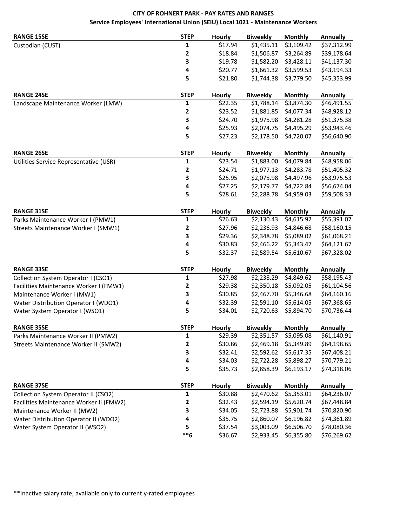# **CITY OF ROHNERT PARK - PAY RATES AND RANGES Service Employees' International Union (SEIU) Local 1021 - Maintenance Workers**

| <b>RANGE 15SE</b>                       | <b>STEP</b> | <b>Hourly</b> | <b>Biweekly</b> | <b>Monthly</b> | Annually        |
|-----------------------------------------|-------------|---------------|-----------------|----------------|-----------------|
| Custodian (CUST)                        | 1           | \$17.94       | \$1,435.11      | \$3,109.42     | \$37,312.99     |
|                                         | 2           | \$18.84       | \$1,506.87      | \$3,264.89     | \$39,178.64     |
|                                         | З           | \$19.78       | \$1,582.20      | \$3,428.11     | \$41,137.30     |
|                                         | 4           | \$20.77       | \$1,661.32      | \$3,599.53     | \$43,194.33     |
|                                         | 5           | \$21.80       | \$1,744.38      | \$3,779.50     | \$45,353.99     |
| <b>RANGE 24SE</b>                       | <b>STEP</b> | <b>Hourly</b> | <b>Biweekly</b> | <b>Monthly</b> | <b>Annually</b> |
| Landscape Maintenance Worker (LMW)      | 1           | \$22.35       | \$1,788.14      | \$3,874.30     | \$46,491.55     |
|                                         | 2           | \$23.52       | \$1,881.85      | \$4,077.34     | \$48,928.12     |
|                                         | 3           | \$24.70       | \$1,975.98      | \$4,281.28     | \$51,375.38     |
|                                         | 4           | \$25.93       | \$2,074.75      | \$4,495.29     | \$53,943.46     |
|                                         | 5           | \$27.23       | \$2,178.50      | \$4,720.07     | \$56,640.90     |
| <b>RANGE 26SE</b>                       | <b>STEP</b> | <b>Hourly</b> | <b>Biweekly</b> | <b>Monthly</b> | <b>Annually</b> |
| Utilities Service Representative (USR)  | 1           | \$23.54       | \$1,883.00      | \$4,079.84     | \$48,958.06     |
|                                         | 2           | \$24.71       | \$1,977.13      | \$4,283.78     | \$51,405.32     |
|                                         | 3           | \$25.95       | \$2,075.98      | \$4,497.96     | \$53,975.53     |
|                                         | 4           | \$27.25       | \$2,179.77      | \$4,722.84     | \$56,674.04     |
|                                         | 5           | \$28.61       | \$2,288.78      | \$4,959.03     | \$59,508.33     |
|                                         |             |               |                 |                |                 |
| <b>RANGE 31SE</b>                       | <b>STEP</b> | <b>Hourly</b> | <b>Biweekly</b> | <b>Monthly</b> | <b>Annually</b> |
| Parks Maintenance Worker I (PMW1)       | 1           | \$26.63       | \$2,130.43      | \$4,615.92     | \$55,391.07     |
| Streets Maintenance Worker I (SMW1)     | 2           | \$27.96       | \$2,236.93      | \$4,846.68     | \$58,160.15     |
|                                         | 3           | \$29.36       | \$2,348.78      | \$5,089.02     | \$61,068.21     |
|                                         | 4           | \$30.83       | \$2,466.22      | \$5,343.47     | \$64,121.67     |
|                                         | 5           | \$32.37       | \$2,589.54      | \$5,610.67     | \$67,328.02     |
| <b>RANGE 33SE</b>                       | <b>STEP</b> | <b>Hourly</b> | <b>Biweekly</b> | <b>Monthly</b> | <b>Annually</b> |
| Collection System Operator I (CSO1)     | 1           | \$27.98       | \$2,238.29      | \$4,849.62     | \$58,195.43     |
| Facilities Maintenance Worker I (FMW1)  | 2           | \$29.38       | \$2,350.18      | \$5,092.05     | \$61,104.56     |
| Maintenance Worker I (MW1)              | 3           | \$30.85       | \$2,467.70      | \$5,346.68     | \$64,160.16     |
| Water Distribution Operator I (WDO1)    | 4           | \$32.39       | \$2,591.10      | \$5,614.05     | \$67,368.65     |
| Water System Operator I (WSO1)          | 5           | \$34.01       | \$2,720.63      | \$5,894.70     | \$70,736.44     |
| <b>RANGE 35SE</b>                       | <b>STEP</b> | Hourly        | <b>Biweekly</b> | <b>Monthly</b> | <b>Annually</b> |
| Parks Maintenance Worker II (PMW2)      | 1           | \$29.39       | \$2,351.57      | \$5,095.08     | \$61,140.91     |
| Streets Maintenance Worker II (SMW2)    | 2           | \$30.86       | \$2,469.18      | \$5,349.89     | \$64,198.65     |
|                                         | З           | \$32.41       | \$2,592.62      | \$5,617.35     | \$67,408.21     |
|                                         | 4           | \$34.03       | \$2,722.28      | \$5,898.27     | \$70,779.21     |
|                                         | 5           | \$35.73       | \$2,858.39      | \$6,193.17     | \$74,318.06     |
| <b>RANGE 37SE</b>                       | <b>STEP</b> | Hourly        | <b>Biweekly</b> | <b>Monthly</b> | <b>Annually</b> |
| Collection System Operator II (CSO2)    | 1           | \$30.88       | \$2,470.62      | \$5,353.01     | \$64,236.07     |
| Facilities Maintenance Worker II (FMW2) | 2           | \$32.43       | \$2,594.19      | \$5,620.74     | \$67,448.84     |
| Maintenance Worker II (MW2)             | 3           | \$34.05       | \$2,723.88      | \$5,901.74     | \$70,820.90     |
| Water Distribution Operator II (WDO2)   | 4           | \$35.75       | \$2,860.07      | \$6,196.82     | \$74,361.89     |
| Water System Operator II (WSO2)         | 5           | \$37.54       | \$3,003.09      | \$6,506.70     | \$78,080.36     |
|                                         | $***6$      | \$36.67       | \$2,933.45      | \$6,355.80     | \$76,269.62     |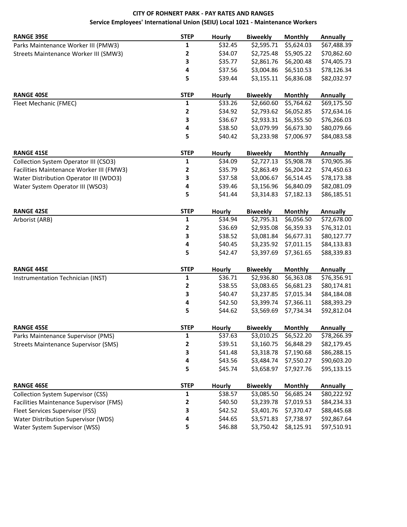# **CITY OF ROHNERT PARK - PAY RATES AND RANGES Service Employees' International Union (SEIU) Local 1021 - Maintenance Workers**

| <b>RANGE 39SE</b>                           | <b>STEP</b> | <b>Hourly</b> | <b>Biweekly</b> | Monthly        | <b>Annually</b> |
|---------------------------------------------|-------------|---------------|-----------------|----------------|-----------------|
| Parks Maintenance Worker III (PMW3)         | 1           | \$32.45       | \$2,595.71      | \$5,624.03     | \$67,488.39     |
| Streets Maintenance Worker III (SMW3)       | 2           | \$34.07       | \$2,725.48      | \$5,905.22     | \$70,862.60     |
|                                             | З           | \$35.77       | \$2,861.76      | \$6,200.48     | \$74,405.73     |
|                                             | 4           | \$37.56       | \$3,004.86      | \$6,510.53     | \$78,126.34     |
|                                             | 5           | \$39.44       | \$3,155.11      | \$6,836.08     | \$82,032.97     |
| <b>RANGE 40SE</b>                           | <b>STEP</b> | <b>Hourly</b> | <b>Biweekly</b> | <b>Monthly</b> | <b>Annually</b> |
| Fleet Mechanic (FMEC)                       | 1           | \$33.26       | \$2,660.60      | \$5,764.62     | \$69,175.50     |
|                                             | 2           | \$34.92       | \$2,793.62      | \$6,052.85     | \$72,634.16     |
|                                             | 3           | \$36.67       | \$2,933.31      | \$6,355.50     | \$76,266.03     |
|                                             | 4           | \$38.50       | \$3,079.99      | \$6,673.30     | \$80,079.66     |
|                                             | 5           | \$40.42       | \$3,233.98      | \$7,006.97     | \$84,083.58     |
| <b>RANGE 41SE</b>                           | <b>STEP</b> | <b>Hourly</b> | <b>Biweekly</b> | <b>Monthly</b> | <b>Annually</b> |
| Collection System Operator III (CSO3)       | 1           | \$34.09       | \$2,727.13      | \$5,908.78     | \$70,905.36     |
| Facilities Maintenance Worker III (FMW3)    | 2           | \$35.79       | \$2,863.49      | \$6,204.22     | \$74,450.63     |
| Water Distribution Operator III (WDO3)      | 3           | \$37.58       | \$3,006.67      | \$6,514.45     | \$78,173.38     |
| Water System Operator III (WSO3)            | 4           | \$39.46       | \$3,156.96      | \$6,840.09     | \$82,081.09     |
|                                             | 5           | \$41.44       | \$3,314.83      | \$7,182.13     | \$86,185.51     |
| <b>RANGE 42SE</b>                           | <b>STEP</b> | <b>Hourly</b> | <b>Biweekly</b> | Monthly        | <b>Annually</b> |
| Arborist (ARB)                              | 1           | \$34.94       | \$2,795.31      | \$6,056.50     | \$72,678.00     |
|                                             | 2           | \$36.69       | \$2,935.08      | \$6,359.33     | \$76,312.01     |
|                                             | 3           | \$38.52       | \$3,081.84      | \$6,677.31     | \$80,127.77     |
|                                             | 4           | \$40.45       | \$3,235.92      | \$7,011.15     | \$84,133.83     |
|                                             | 5           | \$42.47       | \$3,397.69      | \$7,361.65     | \$88,339.83     |
| <b>RANGE 44SE</b>                           | <b>STEP</b> | <b>Hourly</b> | <b>Biweekly</b> | <b>Monthly</b> | <b>Annually</b> |
| Instrumentation Technician (INST)           | 1           | \$36.71       | \$2,936.80      | \$6,363.08     | \$76,356.91     |
|                                             | 2           | \$38.55       | \$3,083.65      | \$6,681.23     | \$80,174.81     |
|                                             | 3           | \$40.47       | \$3,237.85      | \$7,015.34     | \$84,184.08     |
|                                             | 4           | \$42.50       | \$3,399.74      | \$7,366.11     | \$88,393.29     |
|                                             | 5           | \$44.62       | \$3,569.69      | \$7,734.34     | \$92,812.04     |
| <b>RANGE 45SE</b>                           | <b>STEP</b> | <b>Hourly</b> | <b>Biweekly</b> | <b>Monthly</b> | <b>Annually</b> |
| Parks Maintenance Supervisor (PMS)          | 1           | \$37.63       | \$3,010.25      | \$6,522.20     | \$78,266.39     |
| <b>Streets Maintenance Supervisor (SMS)</b> | 2           | \$39.51       | \$3,160.75      | \$6,848.29     | \$82,179.45     |
|                                             | 3           | \$41.48       | \$3,318.78      | \$7,190.68     | \$86,288.15     |
|                                             | 4           | \$43.56       | \$3,484.74      | \$7,550.27     | \$90,603.20     |
|                                             | 5           | \$45.74       | \$3,658.97      | \$7,927.76     | \$95,133.15     |
| <b>RANGE 46SE</b>                           | <b>STEP</b> | <b>Hourly</b> | <b>Biweekly</b> | <b>Monthly</b> | <b>Annually</b> |
| <b>Collection System Supervisor (CSS)</b>   | 1           | \$38.57       | \$3,085.50      | \$6,685.24     | \$80,222.92     |
| Facilities Maintenance Supervisor (FMS)     | 2           | \$40.50       | \$3,239.78      | \$7,019.53     | \$84,234.33     |
| Fleet Services Supervisor (FSS)             | 3           | \$42.52       | \$3,401.76      | \$7,370.47     | \$88,445.68     |
| Water Distribution Supervisor (WDS)         | 4           | \$44.65       | \$3,571.83      | \$7,738.97     | \$92,867.64     |
| Water System Supervisor (WSS)               | 5           | \$46.88       | \$3,750.42      | \$8,125.91     | \$97,510.91     |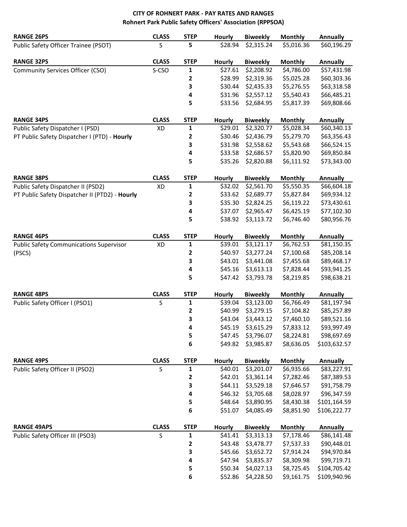## **CITY OF ROHNERT PARK - PAY RATES AND RANGES Rohnert Park Public Safety Officers' Association (RPPSOA)**

| <b>RANGE 26PS</b>                              | <b>CLASS</b> | <b>STEP</b> | Hourly        | <b>Biweekly</b> | <b>Monthly</b> | <b>Annually</b> |
|------------------------------------------------|--------------|-------------|---------------|-----------------|----------------|-----------------|
| Public Safety Officer Trainee (PSOT)           | S            | 5           | \$28.94       | \$2,315.24      | \$5,016.36     | \$60,196.29     |
| <b>RANGE 32PS</b>                              | <b>CLASS</b> | <b>STEP</b> | Hourly        | <b>Biweekly</b> | <b>Monthly</b> | <b>Annually</b> |
| Community Services Officer (CSO)               | S-CSO        | 1           | \$27.61       | \$2,208.92      | \$4,786.00     | \$57,431.98     |
|                                                |              | 2           | \$28.99       | \$2,319.36      | \$5,025.28     | \$60,303.36     |
|                                                |              | 3           | \$30.44       | \$2,435.33      | \$5,276.55     | \$63,318.58     |
|                                                |              | 4           | \$31.96       | \$2,557.12      | \$5,540.43     | \$66,485.21     |
|                                                |              | 5           | \$33.56       | \$2,684.95      | \$5,817.39     | \$69,808.66     |
| <b>RANGE 34PS</b>                              | <b>CLASS</b> | <b>STEP</b> | Hourly        | <b>Biweekly</b> | <b>Monthly</b> | <b>Annually</b> |
| Public Safety Dispatcher I (PSD)               | XD           | 1           | \$29.01       | \$2,320.77      | \$5,028.34     | \$60,340.13     |
| PT Public Safety Dispatcher I (PTD) - Hourly   |              | 2           | \$30.46       | \$2,436.79      | \$5,279.70     | \$63,356.43     |
|                                                |              | 3           | \$31.98       | \$2,558.62      | \$5,543.68     | \$66,524.15     |
|                                                |              | 4           | \$33.58       | \$2,686.57      | \$5,820.90     | \$69,850.84     |
|                                                |              | 5           | \$35.26       | \$2,820.88      | \$6,111.92     | \$73,343.00     |
| <b>RANGE 38PS</b>                              | <b>CLASS</b> | <b>STEP</b> | <b>Hourly</b> | <b>Biweekly</b> | <b>Monthly</b> | <b>Annually</b> |
| Public Safety Dispatcher II (PSD2)             | XD           | 1           | \$32.02       | \$2,561.70      | \$5,550.35     | \$66,604.18     |
| PT Public Safety Dispatcher II (PTD2) - Hourly |              | 2           | \$33.62       | \$2,689.77      | \$5,827.84     | \$69,934.12     |
|                                                |              | 3           | \$35.30       | \$2,824.25      | \$6,119.22     | \$73,430.61     |
|                                                |              | 4           | \$37.07       | \$2,965.47      | \$6,425.19     | \$77,102.30     |
|                                                |              | 5           | \$38.92       | \$3,113.72      | \$6,746.40     | \$80,956.76     |
|                                                |              |             |               |                 |                |                 |
| <b>RANGE 46PS</b>                              | <b>CLASS</b> | <b>STEP</b> | <b>Hourly</b> | <b>Biweekly</b> | <b>Monthly</b> | <b>Annually</b> |
| <b>Public Safety Communications Supervisor</b> | XD           | 1           | \$39.01       | \$3,121.17      | \$6,762.53     | \$81,150.35     |
| (PSCS)                                         |              | 2           | \$40.97       | \$3,277.24      | \$7,100.68     | \$85,208.14     |
|                                                |              | 3           | \$43.01       | \$3,441.08      | \$7,455.68     | \$89,468.17     |
|                                                |              | 4           | \$45.16       | \$3,613.13      | \$7,828.44     | \$93,941.25     |
|                                                |              | 5           | \$47.42       | \$3,793.78      | \$8,219.85     | \$98,638.21     |
| <b>RANGE 48PS</b>                              | <b>CLASS</b> | <b>STEP</b> | Hourly        | <b>Biweekly</b> | <b>Monthly</b> | <b>Annually</b> |
| Public Safety Officer I (PSO1)                 | S            | 1           | \$39.04       | \$3,123.00      | \$6,766.49     | \$81,197.94     |
|                                                |              | 2           | \$40.99       | \$3,279.15      | \$7,104.82     | \$85,257.89     |
|                                                |              | 3           | \$43.04       | \$3,443.12      | \$7,460.10     | \$89,521.16     |
|                                                |              | 4           | \$45.19       | \$3,615.29      | \$7,833.12     | \$93,997.49     |
|                                                |              | 5           | \$47.45       | \$3,796.07      | \$8,224.81     | \$98,697.69     |
|                                                |              | 6           | \$49.82       | \$3,985.87      | \$8,636.05     | \$103,632.57    |
| <b>RANGE 49PS</b>                              | <b>CLASS</b> | <b>STEP</b> | <b>Hourly</b> | <b>Biweekly</b> | <b>Monthly</b> | <b>Annually</b> |
| Public Safety Officer II (PSO2)                | S            | 1           | \$40.01       | \$3,201.07      | \$6,935.66     | \$83,227.91     |
|                                                |              | 2           | \$42.01       | \$3,361.14      | \$7,282.46     | \$87,389.53     |
|                                                |              | 3           | \$44.11       | \$3,529.18      | \$7,646.57     | \$91,758.79     |
|                                                |              | 4           | \$46.32       | \$3,705.68      | \$8,028.97     | \$96,347.59     |
|                                                |              | 5           | \$48.64       | \$3,890.95      | \$8,430.38     | \$101,164.59    |
|                                                |              | 6           | \$51.07       | \$4,085.49      | \$8,851.90     | \$106,222.77    |
| <b>RANGE 49APS</b>                             | <b>CLASS</b> | <b>STEP</b> | <b>Hourly</b> | <b>Biweekly</b> | <b>Monthly</b> | <b>Annually</b> |
| Public Safety Officer III (PSO3)               | S            | 1           | \$41.41       | \$3,313.13      | \$7,178.46     | \$86,141.48     |
|                                                |              | 2           | \$43.48       | \$3,478.77      | \$7,537.33     | \$90,448.01     |
|                                                |              | 3           | \$45.66       | \$3,652.72      | \$7,914.24     | \$94,970.84     |
|                                                |              | 4           | \$47.94       | \$3,835.37      | \$8,309.98     | \$99,719.71     |
|                                                |              | 5           | \$50.34       | \$4,027.13      | \$8,725.45     | \$104,705.42    |
|                                                |              | 6           | \$52.86       | \$4,228.50      | \$9,161.75     | \$109,940.96    |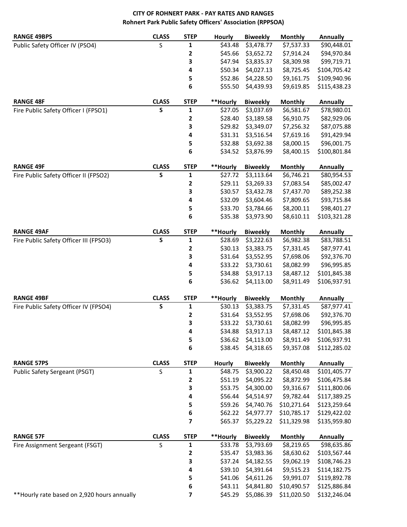# **CITY OF ROHNERT PARK - PAY RATES AND RANGES Rohnert Park Public Safety Officers' Association (RPPSOA)**

| <b>RANGE 49BPS</b>                           | <b>CLASS</b> | <b>STEP</b> | Hourly        | <b>Biweekly</b>    | <b>Monthly</b> | <b>Annually</b> |
|----------------------------------------------|--------------|-------------|---------------|--------------------|----------------|-----------------|
| Public Safety Officer IV (PSO4)              | S            | 1           | \$43.48       | \$3,478.77         | \$7,537.33     | \$90,448.01     |
|                                              |              | 2           | \$45.66       | \$3,652.72         | \$7,914.24     | \$94,970.84     |
|                                              |              | 3           | \$47.94       | \$3,835.37         | \$8,309.98     | \$99,719.71     |
|                                              |              | 4           | \$50.34       | \$4,027.13         | \$8,725.45     | \$104,705.42    |
|                                              |              | 5           | \$52.86       | \$4,228.50         | \$9,161.75     | \$109,940.96    |
|                                              |              | 6           | \$55.50       | \$4,439.93         | \$9,619.85     | \$115,438.23    |
|                                              |              |             |               |                    |                |                 |
| <b>RANGE 48F</b>                             | <b>CLASS</b> | <b>STEP</b> | **Hourly      | <b>Biweekly</b>    | <b>Monthly</b> | <b>Annually</b> |
| Fire Public Safety Officer I (FPSO1)         | ${\sf S}$    | 1           | \$27.05       | \$3,037.69         | \$6,581.67     | \$78,980.01     |
|                                              |              | 2           | \$28.40       | \$3,189.58         | \$6,910.75     | \$82,929.06     |
|                                              |              | 3           | \$29.82       | \$3,349.07         | \$7,256.32     | \$87,075.88     |
|                                              |              | 4           | \$31.31       | \$3,516.54         | \$7,619.16     | \$91,429.94     |
|                                              |              | 5           | \$32.88       | \$3,692.38         | \$8,000.15     | \$96,001.75     |
|                                              |              | 6           | \$34.52       | \$3,876.99         | \$8,400.15     | \$100,801.84    |
|                                              |              |             |               |                    |                |                 |
| <b>RANGE 49F</b>                             | <b>CLASS</b> | <b>STEP</b> | **Hourly      | <b>Biweekly</b>    | <b>Monthly</b> | <b>Annually</b> |
| Fire Public Safety Officer II (FPSO2)        | S            | 1           | \$27.72       | \$3,113.64         | \$6,746.21     | \$80,954.53     |
|                                              |              | 2           | \$29.11       | \$3,269.33         | \$7,083.54     | \$85,002.47     |
|                                              |              | 3           | \$30.57       | \$3,432.78         | \$7,437.70     | \$89,252.38     |
|                                              |              | 4           | \$32.09       | \$3,604.46         | \$7,809.65     | \$93,715.84     |
|                                              |              | 5           | \$33.70       | \$3,784.66         | \$8,200.11     | \$98,401.27     |
|                                              |              | 6           | \$35.38       | \$3,973.90         | \$8,610.11     | \$103,321.28    |
|                                              |              |             |               |                    |                |                 |
| <b>RANGE 49AF</b>                            | <b>CLASS</b> | <b>STEP</b> | **Hourly      | <b>Biweekly</b>    | Monthly        | <b>Annually</b> |
| Fire Public Safety Officer III (FPSO3)       | S            | 1           | \$28.69       | \$3,222.63         | \$6,982.38     | \$83,788.51     |
|                                              |              | 2           | \$30.13       | \$3,383.75         | \$7,331.45     | \$87,977.41     |
|                                              |              | 3           | \$31.64       | \$3,552.95         | \$7,698.06     | \$92,376.70     |
|                                              |              | 4           | \$33.22       | \$3,730.61         | \$8,082.99     | \$96,995.85     |
|                                              |              | 5           | \$34.88       | \$3,917.13         | \$8,487.12     | \$101,845.38    |
|                                              |              | 6           | \$36.62       | \$4,113.00         | \$8,911.49     | \$106,937.91    |
|                                              |              |             |               |                    |                |                 |
| <b>RANGE 49BF</b>                            | <b>CLASS</b> | <b>STEP</b> | **Hourly      | <b>Biweekly</b>    | <b>Monthly</b> | <b>Annually</b> |
| Fire Public Safety Officer IV (FPSO4)        | $\mathsf{s}$ | $\mathbf 1$ | \$30.13       | \$3,383.75         | \$7,331.45     | \$87,977.41     |
|                                              |              | 2           | \$31.64       | \$3,552.95         | \$7,698.06     | \$92,376.70     |
|                                              |              | 3           | \$33.22       | \$3,730.61         | \$8,082.99     | \$96,995.85     |
|                                              |              | 4           |               | \$34.88 \$3,917.13 | \$8,487.12     | \$101,845.38    |
|                                              |              | 5           | \$36.62       | \$4,113.00         | \$8,911.49     | \$106,937.91    |
|                                              |              | 6           | \$38.45       | \$4,318.65         | \$9,357.08     | \$112,285.02    |
|                                              |              |             |               |                    |                |                 |
| <b>RANGE 57PS</b>                            | <b>CLASS</b> | <b>STEP</b> | <b>Hourly</b> | <b>Biweekly</b>    | <b>Monthly</b> | <b>Annually</b> |
| Public Safety Sergeant (PSGT)                | S            | $\mathbf 1$ | \$48.75       | \$3,900.22         | \$8,450.48     | \$101,405.77    |
|                                              |              | 2           | \$51.19       | \$4,095.22         | \$8,872.99     | \$106,475.84    |
|                                              |              | 3           | \$53.75       | \$4,300.00         | \$9,316.67     | \$111,800.06    |
|                                              |              | 4           | \$56.44       | \$4,514.97         | \$9,782.44     | \$117,389.25    |
|                                              |              | 5           | \$59.26       | \$4,740.76         | \$10,271.64    | \$123,259.64    |
|                                              |              | 6           | \$62.22       | \$4,977.77         | \$10,785.17    | \$129,422.02    |
|                                              |              | 7           | \$65.37       | \$5,229.22         | \$11,329.98    | \$135,959.80    |
|                                              |              |             |               |                    |                |                 |
| <b>RANGE 57F</b>                             | <b>CLASS</b> | <b>STEP</b> | **Hourly      | <b>Biweekly</b>    | <b>Monthly</b> | <b>Annually</b> |
| Fire Assignment Sergeant (FSGT)              | S            | 1           | \$33.78       | \$3,793.69         | \$8,219.65     | \$98,635.86     |
|                                              |              | 2           | \$35.47       | \$3,983.36         | \$8,630.62     | \$103,567.44    |
|                                              |              | 3           | \$37.24       | \$4,182.55         | \$9,062.19     | \$108,746.23    |
|                                              |              | 4           | \$39.10       | \$4,391.64         | \$9,515.23     | \$114,182.75    |
|                                              |              | 5           | \$41.06       | \$4,611.26         | \$9,991.07     | \$119,892.78    |
|                                              |              | 6           | \$43.11       | \$4,841.80         | \$10,490.57    | \$125,886.84    |
| ** Hourly rate based on 2,920 hours annually |              | 7           | \$45.29       | \$5,086.39         | \$11,020.50    | \$132,246.04    |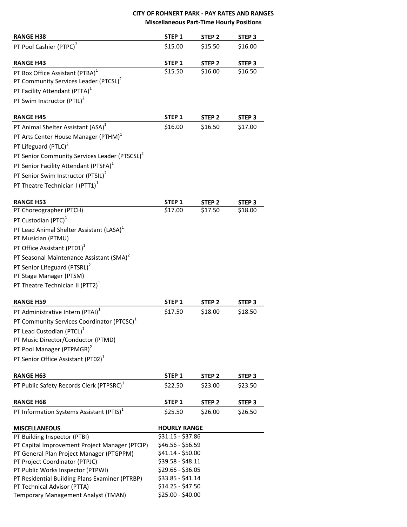#### **CITY OF ROHNERT PARK - PAY RATES AND RANGES Miscellaneous Part-Time Hourly Positions**

| <b>RANGE H38</b>                                          | STEP <sub>1</sub>   | STEP <sub>2</sub> | STEP <sub>3</sub> |
|-----------------------------------------------------------|---------------------|-------------------|-------------------|
| PT Pool Cashier (PTPC) <sup>2</sup>                       | \$15.00             | \$15.50           | \$16.00           |
| <b>RANGE H43</b>                                          | STEP <sub>1</sub>   | STEP <sub>2</sub> | STEP <sub>3</sub> |
| PT Box Office Assistant (PTBA) <sup>1</sup>               | \$15.50             | \$16.00           | \$16.50           |
| PT Community Services Leader (PTCSL) <sup>2</sup>         |                     |                   |                   |
| PT Facility Attendant (PTFA) <sup>1</sup>                 |                     |                   |                   |
| PT Swim Instructor (PTIL) <sup>2</sup>                    |                     |                   |                   |
|                                                           |                     |                   |                   |
| <b>RANGE H45</b>                                          | STEP <sub>1</sub>   | STEP <sub>2</sub> | STEP <sub>3</sub> |
| PT Animal Shelter Assistant (ASA) <sup>1</sup>            | \$16.00             | \$16.50           | \$17.00           |
| PT Arts Center House Manager (PTHM) <sup>1</sup>          |                     |                   |                   |
| PT Lifeguard (PTLC) <sup>2</sup>                          |                     |                   |                   |
| PT Senior Community Services Leader (PTSCSL) <sup>2</sup> |                     |                   |                   |
| PT Senior Facility Attendant (PTSFA) <sup>1</sup>         |                     |                   |                   |
| PT Senior Swim Instructor (PTSIL) <sup>2</sup>            |                     |                   |                   |
| PT Theatre Technician I (PTT1) <sup>1</sup>               |                     |                   |                   |
|                                                           |                     |                   |                   |
| <b>RANGE H53</b>                                          | STEP <sub>1</sub>   | STEP <sub>2</sub> | STEP <sub>3</sub> |
| PT Choreographer (PTCH)                                   | \$17.00             | \$17.50           | \$18.00           |
| PT Custodian (PTC) <sup>1</sup>                           |                     |                   |                   |
| PT Lead Animal Shelter Assistant (LASA) <sup>1</sup>      |                     |                   |                   |
| PT Musician (PTMU)                                        |                     |                   |                   |
| PT Office Assistant (PT01) <sup>1</sup>                   |                     |                   |                   |
| PT Seasonal Maintenance Assistant (SMA) <sup>2</sup>      |                     |                   |                   |
| PT Senior Lifeguard (PTSRL) <sup>2</sup>                  |                     |                   |                   |
| PT Stage Manager (PTSM)                                   |                     |                   |                   |
| PT Theatre Technician II (PTT2) <sup>1</sup>              |                     |                   |                   |
|                                                           |                     |                   |                   |
| <b>RANGE H59</b>                                          | STEP <sub>1</sub>   | STEP <sub>2</sub> | STEP <sub>3</sub> |
| PT Administrative Intern (PTAI) <sup>1</sup>              | \$17.50             | \$18.00           | \$18.50           |
| PT Community Services Coordinator (PTCSC) <sup>1</sup>    |                     |                   |                   |
| PT Lead Custodian (PTCL) <sup>1</sup>                     |                     |                   |                   |
| PT Music Director/Conductor (PTMD)                        |                     |                   |                   |
| PT Pool Manager (PTPMGR) <sup>2</sup>                     |                     |                   |                   |
| PT Senior Office Assistant (PT02) <sup>1</sup>            |                     |                   |                   |
| <b>RANGE H63</b>                                          | STEP 1              | STEP <sub>2</sub> | STEP <sub>3</sub> |
| PT Public Safety Records Clerk (PTPSRC) <sup>1</sup>      | \$22.50             | \$23.00           | \$23.50           |
|                                                           |                     |                   |                   |
| <b>RANGE H68</b>                                          | STEP <sub>1</sub>   | STEP <sub>2</sub> | STEP <sub>3</sub> |
| PT Information Systems Assistant (PTIS) <sup>1</sup>      | \$25.50             | \$26.00           | \$26.50           |
| <b>MISCELLANEOUS</b>                                      | <b>HOURLY RANGE</b> |                   |                   |
| PT Building Inspector (PTBI)                              | $$31.15 - $37.86$   |                   |                   |
| PT Capital Improvement Project Manager (PTCIP)            | \$46.56 - \$56.59   |                   |                   |
| PT General Plan Project Manager (PTGPPM)                  | $$41.14 - $50.00$   |                   |                   |
| PT Project Coordinator (PTPJC)                            | $$39.58 - $48.11$   |                   |                   |
| PT Public Works Inspector (PTPWI)                         | \$29.66 - \$36.05   |                   |                   |
| PT Residential Building Plans Examiner (PTRBP)            | \$33.85 - \$41.14   |                   |                   |
| PT Technical Advisor (PTTA)                               | $$14.25 - $47.50$   |                   |                   |
| Temporary Management Analyst (TMAN)                       | \$25.00 - \$40.00   |                   |                   |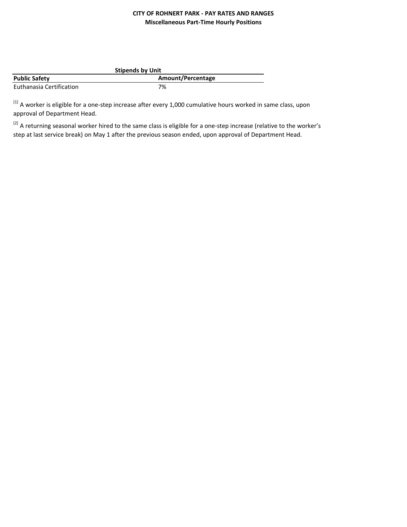## **CITY OF ROHNERT PARK - PAY RATES AND RANGES Miscellaneous Part-Time Hourly Positions**

| <b>Stipends by Unit</b>  |                   |  |
|--------------------------|-------------------|--|
| <b>Public Safety</b>     | Amount/Percentage |  |
| Euthanasia Certification | 7%                |  |

[1] A worker is eligible for a one-step increase after every 1,000 cumulative hours worked in same class, upon approval of Department Head.

<sup>[2]</sup> A returning seasonal worker hired to the same class is eligible for a one-step increase (relative to the worker's step at last service break) on May 1 after the previous season ended, upon approval of Department Head.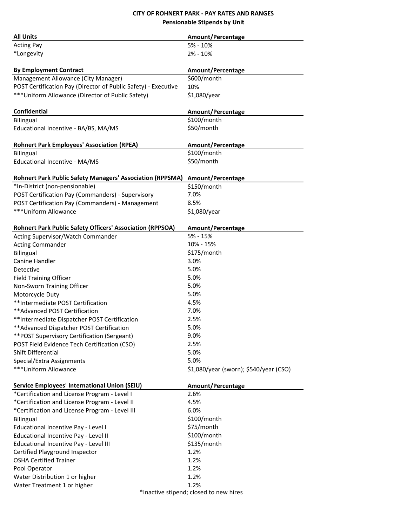## **CITY OF ROHNERT PARK - PAY RATES AND RANGES Pensionable Stipends by Unit**

| <b>All Units</b>                                                 | Amount/Percentage                      |  |
|------------------------------------------------------------------|----------------------------------------|--|
| <b>Acting Pay</b>                                                | $5% - 10%$                             |  |
| *Longevity                                                       | 2% - 10%                               |  |
| <b>By Employment Contract</b>                                    | Amount/Percentage                      |  |
| Management Allowance (City Manager)                              | \$600/month                            |  |
| POST Certification Pay (Director of Public Safety) - Executive   | 10%                                    |  |
| *** Uniform Allowance (Director of Public Safety)                | \$1,080/year                           |  |
|                                                                  |                                        |  |
| Confidential                                                     | Amount/Percentage                      |  |
| <b>Bilingual</b>                                                 | \$100/month                            |  |
| Educational Incentive - BA/BS, MA/MS                             | \$50/month                             |  |
| <b>Rohnert Park Employees' Association (RPEA)</b>                | Amount/Percentage                      |  |
| <b>Bilingual</b>                                                 | \$100/month                            |  |
| Educational Incentive - MA/MS                                    | \$50/month                             |  |
| <b>Rohnert Park Public Safety Managers' Association (RPPSMA)</b> |                                        |  |
|                                                                  | Amount/Percentage                      |  |
| *In-District (non-pensionable)                                   | \$150/month<br>7.0%                    |  |
| POST Certification Pay (Commanders) - Supervisory                |                                        |  |
| POST Certification Pay (Commanders) - Management                 | 8.5%                                   |  |
| ***Uniform Allowance                                             | \$1,080/year                           |  |
| Rohnert Park Public Safety Officers' Association (RPPSOA)        | Amount/Percentage                      |  |
| Acting Supervisor/Watch Commander                                | $5% - 15%$                             |  |
| <b>Acting Commander</b>                                          | 10% - 15%                              |  |
| <b>Bilingual</b>                                                 | \$175/month                            |  |
| Canine Handler                                                   | 3.0%                                   |  |
| Detective                                                        | 5.0%                                   |  |
| <b>Field Training Officer</b>                                    | 5.0%                                   |  |
| Non-Sworn Training Officer                                       | 5.0%                                   |  |
| Motorcycle Duty                                                  | 5.0%                                   |  |
| **Intermediate POST Certification                                | 4.5%                                   |  |
| ** Advanced POST Certification                                   | 7.0%                                   |  |
| **Intermediate Dispatcher POST Certification                     | 2.5%                                   |  |
| ** Advanced Dispatcher POST Certification                        | 5.0%                                   |  |
| <i>**POST Supervisory Certification (Sergeant)</i>               | 9.0%                                   |  |
| POST Field Evidence Tech Certification (CSO)                     | 2.5%                                   |  |
| Shift Differential                                               | 5.0%                                   |  |
| Special/Extra Assignments                                        | 5.0%                                   |  |
| ***Uniform Allowance                                             | \$1,080/year (sworn); \$540/year (CSO) |  |
|                                                                  |                                        |  |
| Service Employees' International Union (SEIU)                    | Amount/Percentage                      |  |
| *Certification and License Program - Level I                     | 2.6%                                   |  |
| *Certification and License Program - Level II                    | 4.5%                                   |  |
| *Certification and License Program - Level III                   | 6.0%                                   |  |
| Bilingual                                                        | \$100/month                            |  |
| Educational Incentive Pay - Level I                              | \$75/month                             |  |
| Educational Incentive Pay - Level II                             | \$100/month                            |  |
| Educational Incentive Pay - Level III                            | \$135/month                            |  |
| Certified Playground Inspector                                   | 1.2%                                   |  |
| <b>OSHA Certified Trainer</b>                                    | 1.2%                                   |  |
| Pool Operator                                                    | 1.2%                                   |  |
| Water Distribution 1 or higher                                   | 1.2%                                   |  |
| Water Treatment 1 or higher                                      | 1.2%                                   |  |
| *Inactive stipend; closed to new hires                           |                                        |  |